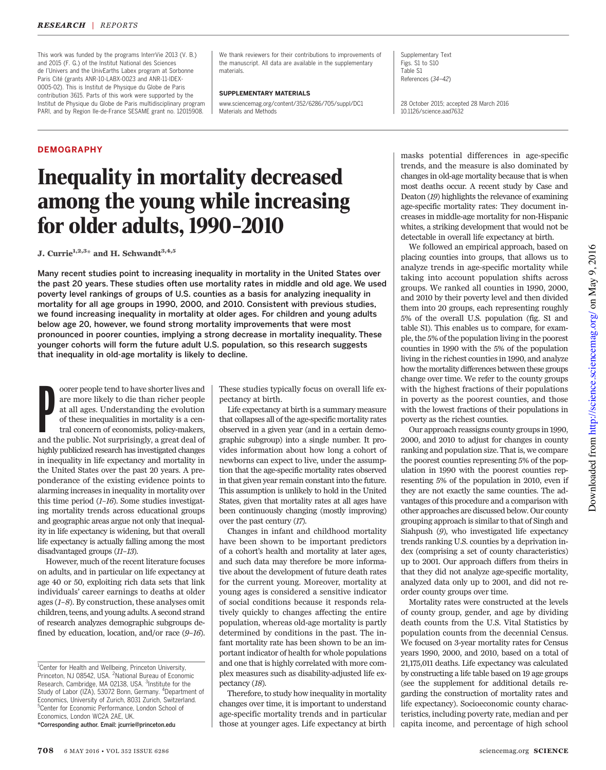This work was funded by the programs InterrVie 2013 (V. B.) and 2015 (F. G.) of the Institut National des Sciences de l'Univers and the UnivEarths Labex program at Sorbonne Paris Cité (grants ANR-10-LABX-0023 and ANR-11-IDEX-0005-02). This is Institut de Physique du Globe de Paris contribution 3615. Parts of this work were supported by the Institut de Physique du Globe de Paris multidisciplinary program PARI, and by Region Ile-de-France SESAME grant no. 12015908.

#### We thank reviewers for their contributions to improvements of the manuscript. All data are available in the supplementary materials.

#### SUPPLEMENTARY MATERIALS

www.sciencemag.org/content/352/6286/705/suppl/DC1 Materials and Methods

Supplementary Text Figs. S1 to S10 Table S1 References (34–42)

28 October 2015; accepted 28 March 2016 10.1126/science.aad7632

### **DEMOGRAPHY**

# Inequality in mortality decreased among the young while increasing for older adults, 1990–2010

J. Currie<sup>1,2,3\*</sup> and H. Schwandt<sup>3,4,5</sup>

Many recent studies point to increasing inequality in mortality in the United States over the past 20 years. These studies often use mortality rates in middle and old age. We used poverty level rankings of groups of U.S. counties as a basis for analyzing inequality in mortality for all age groups in 1990, 2000, and 2010. Consistent with previous studies, we found increasing inequality in mortality at older ages. For children and young adults below age 20, however, we found strong mortality improvements that were most pronounced in poorer counties, implying a strong decrease in mortality inequality. These younger cohorts will form the future adult U.S. population, so this research suggests that inequality in old-age mortality is likely to decline.

oorer people tend to have shorter lives and<br>are more likely to die than richer people<br>at all ages. Understanding the evolution<br>of these inequalities in mortality is a cen-<br>tral concern of economists, policy-makers,<br>and the oorer people tend to have shorter lives and are more likely to die than richer people at all ages. Understanding the evolution of these inequalities in mortality is a central concern of economists, policy-makers, highly publicized research has investigated changes in inequality in life expectancy and mortality in the United States over the past 20 years. A preponderance of the existing evidence points to alarming increases in inequality in mortality over this time period  $(I-I6)$ . Some studies investigating mortality trends across educational groups and geographic areas argue not only that inequality in life expectancy is widening, but that overall life expectancy is actually falling among the most disadvantaged groups (11–13).

However, much of the recent literature focuses on adults, and in particular on life expectancy at age 40 or 50, exploiting rich data sets that link individuals' career earnings to deaths at older ages (1–8). By construction, these analyses omit children, teens, and young adults. A second strand of research analyzes demographic subgroups defined by education, location, and/or race  $(9-16)$ . These studies typically focus on overall life expectancy at birth.

Life expectancy at birth is a summary measure that collapses all of the age-specific mortality rates observed in a given year (and in a certain demographic subgroup) into a single number. It provides information about how long a cohort of newborns can expect to live, under the assumption that the age-specific mortality rates observed in that given year remain constant into the future. This assumption is unlikely to hold in the United States, given that mortality rates at all ages have been continuously changing (mostly improving) over the past century (17).

Changes in infant and childhood mortality have been shown to be important predictors of a cohort's health and mortality at later ages, and such data may therefore be more informative about the development of future death rates for the current young. Moreover, mortality at young ages is considered a sensitive indicator of social conditions because it responds relatively quickly to changes affecting the entire population, whereas old-age mortality is partly determined by conditions in the past. The infant mortality rate has been shown to be an important indicator of health for whole populations and one that is highly correlated with more complex measures such as disability-adjusted life expectancy (18).

Therefore, to study how inequality in mortality changes over time, it is important to understand age-specific mortality trends and in particular those at younger ages. Life expectancy at birth

masks potential differences in age-specific trends, and the measure is also dominated by changes in old-age mortality because that is when most deaths occur. A recent study by Case and Deaton (19) highlights the relevance of examining age-specific mortality rates: They document increases in middle-age mortality for non-Hispanic whites, a striking development that would not be detectable in overall life expectancy at birth.

We followed an empirical approach, based on placing counties into groups, that allows us to analyze trends in age-specific mortality while taking into account population shifts across groups. We ranked all counties in 1990, 2000, and 2010 by their poverty level and then divided them into 20 groups, each representing roughly 5% of the overall U.S. population (fig. S1 and table S1). This enables us to compare, for example, the 5% of the population living in the poorest counties in 1990 with the 5% of the population living in the richest counties in 1990, and analyze how the mortality differences between these groups change over time. We refer to the county groups with the highest fractions of their populations in poverty as the poorest counties, and those with the lowest fractions of their populations in poverty as the richest counties.

Our approach reassigns county groups in 1990, 2000, and 2010 to adjust for changes in county ranking and population size. That is, we compare the poorest counties representing 5% of the population in 1990 with the poorest counties representing 5% of the population in 2010, even if they are not exactly the same counties. The advantages of this procedure and a comparison with other approaches are discussed below. Our county grouping approach is similar to that of Singh and Siahpush (9), who investigated life expectancy trends ranking U.S. counties by a deprivation index (comprising a set of county characteristics) up to 2001. Our approach differs from theirs in that they did not analyze age-specific mortality, analyzed data only up to 2001, and did not reorder county groups over time.

Mortality rates were constructed at the levels of county group, gender, and age by dividing death counts from the U.S. Vital Statistics by population counts from the decennial Census. We focused on 3-year mortality rates for Census years 1990, 2000, and 2010, based on a total of 21,175,011 deaths. Life expectancy was calculated by constructing a life table based on 19 age groups (see the supplement for additional details regarding the construction of mortality rates and life expectancy). Socioeconomic county characteristics, including poverty rate, median and per capita income, and percentage of high school

<sup>&</sup>lt;sup>1</sup>Center for Health and Wellbeing, Princeton University, Princeton, NJ 08542, USA. <sup>2</sup>National Bureau of Economic Research, Cambridge, MA 02138, USA. <sup>3</sup>Institute for the Study of Labor (IZA), 53072 Bonn, Germany. <sup>4</sup>Department of Economics, University of Zurich, 8031 Zurich, Switzerland. 5 Center for Economic Performance, London School of Economics, London WC2A 2AE, UK. \*Corresponding author. Email: jcurrie@princeton.edu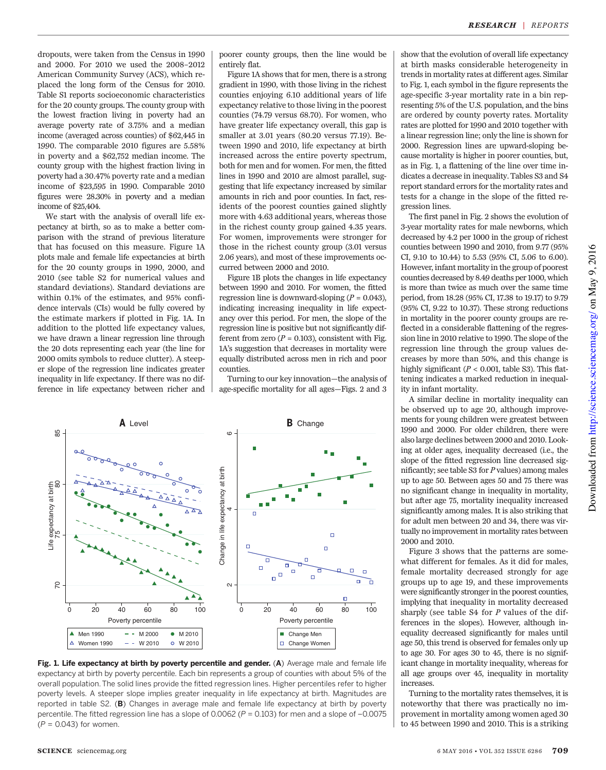dropouts, were taken from the Census in 1990 and 2000. For 2010 we used the 2008–2012 American Community Survey (ACS), which replaced the long form of the Census for 2010. Table S1 reports socioeconomic characteristics for the 20 county groups. The county group with the lowest fraction living in poverty had an average poverty rate of 3.75% and a median income (averaged across counties) of \$62,445 in 1990. The comparable 2010 figures are 5.58% in poverty and a \$62,752 median income. The county group with the highest fraction living in poverty had a 30.47% poverty rate and a median income of \$23,595 in 1990. Comparable 2010 figures were 28.30% in poverty and a median income of \$25,404.

We start with the analysis of overall life expectancy at birth, so as to make a better comparison with the strand of previous literature that has focused on this measure. Figure 1A plots male and female life expectancies at birth for the 20 county groups in 1990, 2000, and 2010 (see table S2 for numerical values and standard deviations). Standard deviations are within 0.1% of the estimates, and 95% confidence intervals (CIs) would be fully covered by the estimate markers if plotted in Fig. 1A. In addition to the plotted life expectancy values, we have drawn a linear regression line through the 20 dots representing each year (the line for 2000 omits symbols to reduce clutter). A steeper slope of the regression line indicates greater inequality in life expectancy. If there was no difference in life expectancy between richer and

poorer county groups, then the line would be entirely flat.

Figure 1A shows that for men, there is a strong gradient in 1990, with those living in the richest counties enjoying 6.10 additional years of life expectancy relative to those living in the poorest counties (74.79 versus 68.70). For women, who have greater life expectancy overall, this gap is smaller at 3.01 years (80.20 versus 77.19). Between 1990 and 2010, life expectancy at birth increased across the entire poverty spectrum, both for men and for women. For men, the fitted lines in 1990 and 2010 are almost parallel, suggesting that life expectancy increased by similar amounts in rich and poor counties. In fact, residents of the poorest counties gained slightly more with 4.63 additional years, whereas those in the richest county group gained 4.35 years. For women, improvements were stronger for those in the richest county group (3.01 versus 2.06 years), and most of these improvements occurred between 2000 and 2010.

Figure 1B plots the changes in life expectancy between 1990 and 2010. For women, the fitted regression line is downward-sloping  $(P = 0.043)$ , indicating increasing inequality in life expectancy over this period. For men, the slope of the regression line is positive but not significantly different from zero ( $P = 0.103$ ), consistent with Fig. 1A's suggestion that decreases in mortality were equally distributed across men in rich and poor counties.

Turning to our key innovation—the analysis of age-specific mortality for all ages—Figs. 2 and 3



Fig. 1. Life expectancy at birth by poverty percentile and gender. (A) Average male and female life expectancy at birth by poverty percentile. Each bin represents a group of counties with about 5% of the overall population. The solid lines provide the fitted regression lines. Higher percentiles refer to higher poverty levels. A steeper slope implies greater inequality in life expectancy at birth. Magnitudes are reported in table S2. (B) Changes in average male and female life expectancy at birth by poverty percentile. The fitted regression line has a slope of  $0.0062$  ( $P = 0.103$ ) for men and a slope of  $-0.0075$  $(P = 0.043)$  for women.

show that the evolution of overall life expectancy at birth masks considerable heterogeneity in trends in mortality rates at different ages. Similar to Fig. 1, each symbol in the figure represents the age-specific 3-year mortality rate in a bin representing 5% of the U.S. population, and the bins are ordered by county poverty rates. Mortality rates are plotted for 1990 and 2010 together with a linear regression line; only the line is shown for 2000. Regression lines are upward-sloping because mortality is higher in poorer counties, but, as in Fig. 1, a flattening of the line over time indicates a decrease in inequality. Tables S3 and S4 report standard errors for the mortality rates and tests for a change in the slope of the fitted regression lines.

The first panel in Fig. 2 shows the evolution of 3-year mortality rates for male newborns, which decreased by 4.2 per 1000 in the group of richest counties between 1990 and 2010, from 9.77 (95% CI, 9.10 to 10.44) to 5.53 (95% CI, 5.06 to 6.00). However, infant mortality in the group of poorest counties decreased by 8.49 deaths per 1000, which is more than twice as much over the same time period, from 18.28 (95% CI, 17.38 to 19.17) to 9.79 (95% CI, 9.22 to 10.37). These strong reductions in mortality in the poorer county groups are reflected in a considerable flattening of the regression line in 2010 relative to 1990. The slope of the regression line through the group values decreases by more than 50%, and this change is highly significant ( $P < 0.001$ , table S3). This flattening indicates a marked reduction in inequality in infant mortality.

A similar decline in mortality inequality can be observed up to age 20, although improvements for young children were greatest between 1990 and 2000. For older children, there were also large declines between 2000 and 2010. Looking at older ages, inequality decreased (i.e., the slope of the fitted regression line decreased significantly; see table S3 for P values) among males up to age 50. Between ages 50 and 75 there was no significant change in inequality in mortality, but after age 75, mortality inequality increased significantly among males. It is also striking that for adult men between 20 and 34, there was virtually no improvement in mortality rates between 2000 and 2010.

Figure 3 shows that the patterns are somewhat different for females. As it did for males, female mortality decreased strongly for age groups up to age 19, and these improvements were significantly stronger in the poorest counties, implying that inequality in mortality decreased sharply (see table S4 for P values of the differences in the slopes). However, although inequality decreased significantly for males until age 50, this trend is observed for females only up to age 30. For ages 30 to 45, there is no significant change in mortality inequality, whereas for all age groups over 45, inequality in mortality increases.

Turning to the mortality rates themselves, it is noteworthy that there was practically no improvement in mortality among women aged 30 to 45 between 1990 and 2010. This is a striking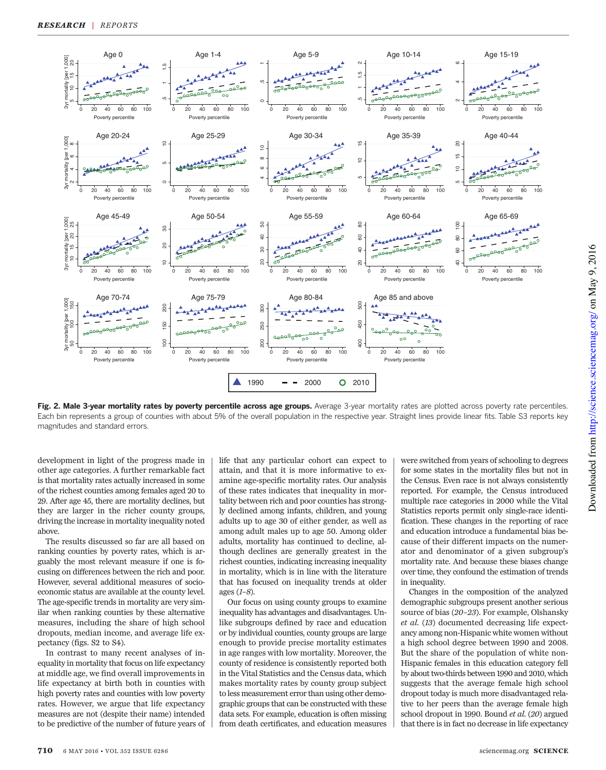

Fig. 2. Male 3-year mortality rates by poverty percentile across age groups. Average 3-year mortality rates are plotted across poverty rate percentiles. Each bin represents a group of counties with about 5% of the overall population in the respective year. Straight lines provide linear fits. Table S3 reports key magnitudes and standard errors.

development in light of the progress made in other age categories. A further remarkable fact is that mortality rates actually increased in some of the richest counties among females aged 20 to 29. After age 45, there are mortality declines, but they are larger in the richer county groups, driving the increase in mortality inequality noted above.

The results discussed so far are all based on ranking counties by poverty rates, which is arguably the most relevant measure if one is focusing on differences between the rich and poor. However, several additional measures of socioeconomic status are available at the county level. The age-specific trends in mortality are very similar when ranking counties by these alternative measures, including the share of high school dropouts, median income, and average life expectancy (figs. S2 to S4).

In contrast to many recent analyses of inequality in mortality that focus on life expectancy at middle age, we find overall improvements in life expectancy at birth both in counties with high poverty rates and counties with low poverty rates. However, we argue that life expectancy measures are not (despite their name) intended to be predictive of the number of future years of life that any particular cohort can expect to attain, and that it is more informative to examine age-specific mortality rates. Our analysis of these rates indicates that inequality in mortality between rich and poor counties has strongly declined among infants, children, and young adults up to age 30 of either gender, as well as among adult males up to age 50. Among older adults, mortality has continued to decline, although declines are generally greatest in the richest counties, indicating increasing inequality in mortality, which is in line with the literature that has focused on inequality trends at older ages  $(1-8)$ .

Our focus on using county groups to examine inequality has advantages and disadvantages. Unlike subgroups defined by race and education or by individual counties, county groups are large enough to provide precise mortality estimates in age ranges with low mortality. Moreover, the county of residence is consistently reported both in the Vital Statistics and the Census data, which makes mortality rates by county group subject to less measurement error than using other demographic groups that can be constructed with these data sets. For example, education is often missing from death certificates, and education measures

were switched from years of schooling to degrees for some states in the mortality files but not in the Census. Even race is not always consistently reported. For example, the Census introduced multiple race categories in 2000 while the Vital Statistics reports permit only single-race identification. These changes in the reporting of race and education introduce a fundamental bias because of their different impacts on the numerator and denominator of a given subgroup's mortality rate. And because these biases change over time, they confound the estimation of trends in inequality.

Changes in the composition of the analyzed demographic subgroups present another serious source of bias (20–23). For example, Olshansky et al. (13) documented decreasing life expectancy among non-Hispanic white women without a high school degree between 1990 and 2008. But the share of the population of white non-Hispanic females in this education category fell by about two-thirds between 1990 and 2010, which suggests that the average female high school dropout today is much more disadvantaged relative to her peers than the average female high school dropout in 1990. Bound et al. (20) argued that there is in fact no decrease in life expectancy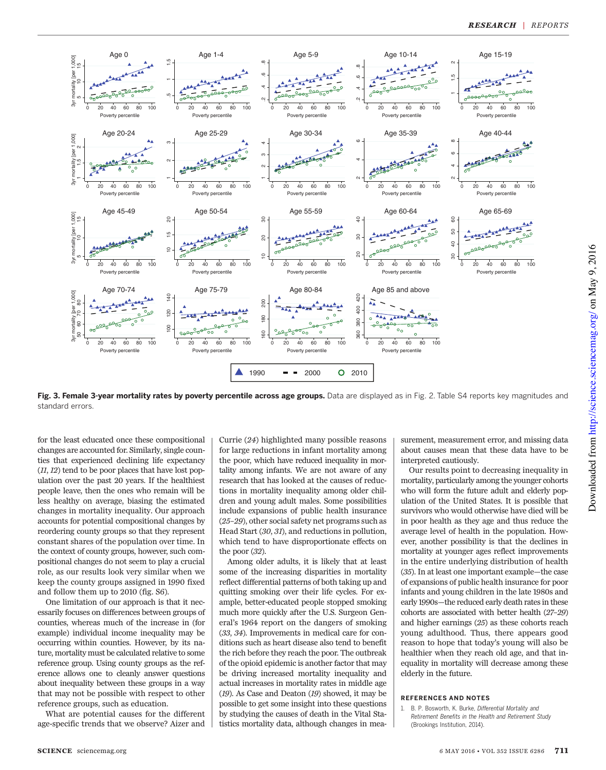

Fig. 3. Female 3-year mortality rates by poverty percentile across age groups. Data are displayed as in Fig. 2. Table S4 reports key magnitudes and standard errors.

for the least educated once these compositional changes are accounted for. Similarly, single counties that experienced declining life expectancy (11, 12) tend to be poor places that have lost population over the past 20 years. If the healthiest people leave, then the ones who remain will be less healthy on average, biasing the estimated changes in mortality inequality. Our approach accounts for potential compositional changes by reordering county groups so that they represent constant shares of the population over time. In the context of county groups, however, such compositional changes do not seem to play a crucial role, as our results look very similar when we keep the county groups assigned in 1990 fixed and follow them up to 2010 (fig. S6).

One limitation of our approach is that it necessarily focuses on differences between groups of counties, whereas much of the increase in (for example) individual income inequality may be occurring within counties. However, by its nature, mortality must be calculated relative to some reference group. Using county groups as the reference allows one to cleanly answer questions about inequality between these groups in a way that may not be possible with respect to other reference groups, such as education.

What are potential causes for the different age-specific trends that we observe? Aizer and

Currie (24) highlighted many possible reasons for large reductions in infant mortality among the poor, which have reduced inequality in mortality among infants. We are not aware of any research that has looked at the causes of reductions in mortality inequality among older children and young adult males. Some possibilities include expansions of public health insurance (25–29), other social safety net programs such as Head Start (30, 31), and reductions in pollution, which tend to have disproportionate effects on the poor  $(32)$ .

Among older adults, it is likely that at least some of the increasing disparities in mortality reflect differential patterns of both taking up and quitting smoking over their life cycles. For example, better-educated people stopped smoking much more quickly after the U.S. Surgeon General's 1964 report on the dangers of smoking (33, 34). Improvements in medical care for conditions such as heart disease also tend to benefit the rich before they reach the poor. The outbreak of the opioid epidemic is another factor that may be driving increased mortality inequality and actual increases in mortality rates in middle age (19). As Case and Deaton (19) showed, it may be possible to get some insight into these questions by studying the causes of death in the Vital Statistics mortality data, although changes in mea-

surement, measurement error, and missing data about causes mean that these data have to be interpreted cautiously.

Our results point to decreasing inequality in mortality, particularly among the younger cohorts who will form the future adult and elderly population of the United States. It is possible that survivors who would otherwise have died will be in poor health as they age and thus reduce the average level of health in the population. However, another possibility is that the declines in mortality at younger ages reflect improvements in the entire underlying distribution of health (35). In at least one important example—the case of expansions of public health insurance for poor infants and young children in the late 1980s and early 1990s—the reduced early death rates in these cohorts are associated with better health (27–29) and higher earnings (25) as these cohorts reach young adulthood. Thus, there appears good reason to hope that today's young will also be healthier when they reach old age, and that inequality in mortality will decrease among these elderly in the future.

### REFERENCES AND NOTES

<sup>1.</sup> B. P. Bosworth, K. Burke, Differential Mortality and Retirement Benefits in the Health and Retirement Study (Brookings Institution, 2014).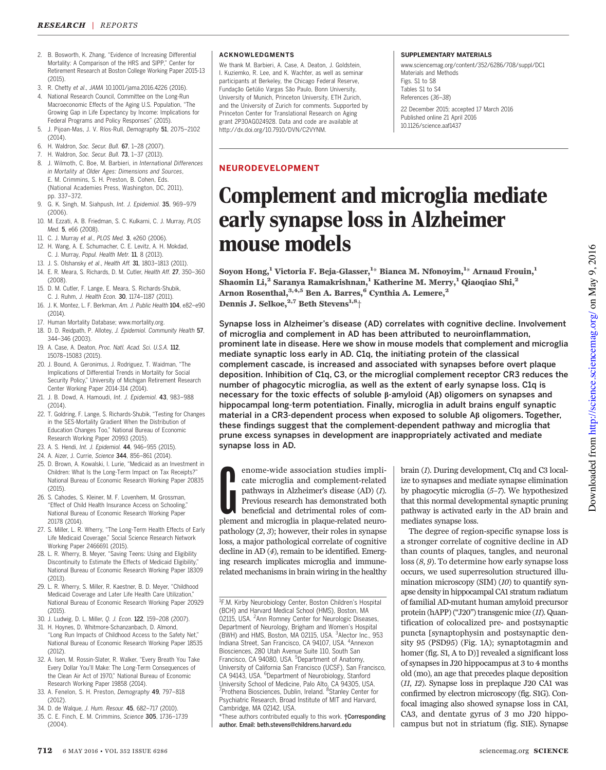- 2. B. Bosworth, K. Zhang, "Evidence of Increasing Differential Mortality: A Comparison of the HRS and SIPP," Center for Retirement Research at Boston College Working Paper 2015-13 (2015).
- 3. R. Chetty et al., JAMA 10.1001/jama.2016.4226 (2016).
- 4. National Research Council, Committee on the Long-Run Macroeconomic Effects of the Aging U.S. Population, "The Growing Gap in Life Expectancy by Income: Implications for Federal Programs and Policy Responses" (2015).
- 5. J. Pijoan-Mas, J. V. Ríos-Rull, Demography 51, 2075–2102 (2014).
- 6. H. Waldron, Soc. Secur. Bull. 67, 1–28 (2007).
- 7. H. Waldron, Soc. Secur. Bull. 73, 1–37 (2013).
- 8. J. Wilmoth, C. Boe, M. Barbieri, in International Differences in Mortality at Older Ages: Dimensions and Sources, E. M. Crimmins, S. H. Preston, B. Cohen, Eds. (National Academies Press, Washington, DC, 2011), pp. 337–372.
- 9. G. K. Singh, M. Siahpush, Int. J. Epidemiol. 35, 969–979 (2006).
- 10. M. Ezzati, A. B. Friedman, S. C. Kulkarni, C. J. Murray, PLOS Med. 5, e66 (2008).
- 11. C. J. Murray et al., PLOS Med. 3, e260 (2006).
- 12. H. Wang, A. E. Schumacher, C. E. Levitz, A. H. Mokdad, C. J. Murray, Popul. Health Metr. 11, 8 (2013).
- 13. J. S. Olshansky et al., Health Aff. 31, 1803-1813 (2011).
- 14. E. R. Meara, S. Richards, D. M. Cutler, Health Aff. 27, 350–360 (2008).
- 15. D. M. Cutler, F. Lange, E. Meara, S. Richards-Shubik, C. J. Ruhm, J. Health Econ. 30, 1174–1187 (2011).
- 16. J. K. Montez, L. F. Berkman, Am. J. Public Health 104, e82–e90 (2014).
- 17. Human Mortality Database; www.mortality.org.
- 18. D. D. Reidpath, P. Allotey, J. Epidemiol. Community Health 57, 344–346 (2003).
- 19. A. Case, A. Deaton, Proc. Natl. Acad. Sci. U.S.A. 112, 15078–15083 (2015).
- 20. J. Bound, A. Geronimus, J. Rodriguez, T. Waidman, "The Implications of Differential Trends in Mortality for Social Security Policy," University of Michigan Retirement Research Center Working Paper 2014-314 (2014).
- 21. J. B. Dowd, A. Hamoudi, Int. J. Epidemiol. 43, 983–988 (2014).
- 22. T. Goldring, F. Lange, S. Richards-Shubik, "Testing for Changes in the SES-Mortality Gradient When the Distribution of Education Changes Too," National Bureau of Economic Research Working Paper 20993 (2015).
- 23. A. S. Hendi, Int. J. Epidemiol. 44, 946–955 (2015).
- 24. A. Aizer, J. Currie, Science 344, 856–861 (2014).
- 25. D. Brown, A. Kowalski, I. Lurie, "Medicaid as an Investment in Children: What Is the Long-Term Impact on Tax Receipts? National Bureau of Economic Research Working Paper 20835 (2015).
- 26. S. Cahodes, S. Kleiner, M. F. Lovenhem, M. Grossman, "Effect of Child Health Insurance Access on Schooling," National Bureau of Economic Research Working Paper 20178 (2014).
- 27. S. Miller, L. R. Wherry, "The Long-Term Health Effects of Early Life Medicaid Coverage," Social Science Research Network Working Paper 2466691 (2015).
- 28. L. R. Wherry, B. Meyer, "Saving Teens: Using and Eligibility Discontinuity to Estimate the Effects of Medicaid Eligibility," National Bureau of Economic Research Working Paper 18309 (2013).
- 29. L. R. Wherry, S. Miller, R. Kaestner, B. D. Meyer, "Childhood Medicaid Coverage and Later Life Health Care Utilization," National Bureau of Economic Research Working Paper 20929 (2015).
- 30. J. Ludwig, D. L. Miller, Q. J. Econ. 122, 159–208 (2007).
- 31. H. Hoynes, D. Whitmore-Schanzanbach, D. Almond, "Long Run Impacts of Childhood Access to the Safety Net," National Bureau of Economic Research Working Paper 18535  $(2012)$
- 32. A. Isen, M. Rossin-Slater, R. Walker, "Every Breath You Take Every Dollar You'll Make: The Long-Term Consequences of the Clean Air Act of 1970," National Bureau of Economic Research Working Paper 19858 (2014).
- 33. A. Fenelon, S. H. Preston, Demography 49, 797–818  $(2012)$
- 34. D. de Walque, J. Hum. Resour. 45, 682–717 (2010).
- 35. C. E. Finch, E. M. Crimmins, Science 305, 1736–1739  $(2004)$

#### ACKNOWLEDGMENTS

We thank M. Barbieri, A. Case, A. Deaton, J. Goldstein, I. Kuziemko, R. Lee, and K. Wachter, as well as seminar participants at Berkeley, the Chicago Federal Reserve, Fundação Getúlio Vargas São Paulo, Bonn University, University of Munich, Princeton University, ETH Zurich, and the University of Zurich for comments. Supported by Princeton Center for Translational Research on Aging grant 2P30AG024928. Data and code are available at http://dx.doi.org/10.7910/DVN/C2VYNM.

# NEURODEVELOPMENT

#### SUPPLEMENTARY MATERIALS

www.sciencemag.org/content/352/6286/708/suppl/DC1 Materials and Methods Figs. S1 to S8 Tables S1 to S4 References (36–38)

22 December 2015; accepted 17 March 2016 Published online 21 April 2016 10.1126/science.aaf1437

# Complement and microglia mediate early synapse loss in Alzheimer mouse models

Soyon Hong, $^1$  Victoria F. Beja-Glasser, $^{1_\star}$  Bianca M. Nfonoyim, $^{1_\star}$  Arnaud Frouin, $^1$ Shaomin Li,<sup>2</sup> Saranya Ramakrishnan,<sup>1</sup> Katherine M. Merry,<sup>1</sup> Qiaoqiao Shi,<sup>2</sup> Arnon Rosenthal, <sup>3,4,5</sup> Ben A. Barres, <sup>6</sup> Cynthia A. Lemere,<sup>2</sup> Dennis J. Selkoe, 2,7 Beth Stevens<sup>1,8</sup><sup>+</sup>

Synapse loss in Alzheimer's disease (AD) correlates with cognitive decline. Involvement of microglia and complement in AD has been attributed to neuroinflammation, prominent late in disease. Here we show in mouse models that complement and microglia mediate synaptic loss early in AD. C1q, the initiating protein of the classical complement cascade, is increased and associated with synapses before overt plaque deposition. Inhibition of C1q, C3, or the microglial complement receptor CR3 reduces the number of phagocytic microglia, as well as the extent of early synapse loss. C1q is necessary for the toxic effects of soluble  $\beta$ -amyloid (A $\beta$ ) oligomers on synapses and hippocampal long-term potentiation. Finally, microglia in adult brains engulf synaptic material in a CR3-dependent process when exposed to soluble  $\mathsf{A}\beta$  oligomers. Together, these findings suggest that the complement-dependent pathway and microglia that prune excess synapses in development are inappropriately activated and mediate synapse loss in AD.

 $\begin{tabular}{ll} enome-wide association studies implicit  
rate microglia and complement-related  
pathways in Alzheimer's disease (AD) (*I*).  
Previous research has demonstrated both  
beneficial and detrimental roles of com-  
plement and microglia in plaque-related neuro$ enome-wide association studies implicate microglia and complement-related pathways in Alzheimer's disease (AD) (1). Previous research has demonstrated both beneficial and detrimental roles of compathology  $(2, 3)$ ; however, their roles in synapse loss, a major pathological correlate of cognitive decline in AD (4), remain to be identified. Emerging research implicates microglia and immunerelated mechanisms in brain wiring in the healthy

<sup>1</sup>F.M. Kirby Neurobiology Center, Boston Children's Hospital (BCH) and Harvard Medical School (HMS), Boston, MA 02115, USA. <sup>2</sup>Ann Romney Center for Neurologic Diseases, Department of Neurology, Brigham and Women's Hospital (BWH) and HMS, Boston, MA 02115, USA. <sup>3</sup>Alector Inc., 953 Indiana Street, San Francisco, CA 94107, USA. <sup>4</sup>Annexon Biosciences, 280 Utah Avenue Suite 110, South San Francisco, CA 94080, USA. <sup>5</sup>Department of Anatomy, University of California San Francisco (UCSF), San Francisco, CA 94143, USA. <sup>6</sup>Department of Neurobiology, Stanford University School of Medicine, Palo Alto, CA 94305, USA. <sup>7</sup> Prothena Biosciences, Dublin, Ireland. <sup>8</sup> Stanley Center for Psychiatric Research, Broad Institute of MIT and Harvard, Cambridge, MA 02142, USA.

\*These authors contributed equally to this work. †Corresponding author. Email: beth.stevens@childrens.harvard.edu

brain (1). During development, C1q and C3 localize to synapses and mediate synapse elimination by phagocytic microglia (5–7). We hypothesized that this normal developmental synaptic pruning pathway is activated early in the AD brain and mediates synapse loss.

The degree of region-specific synapse loss is a stronger correlate of cognitive decline in AD than counts of plaques, tangles, and neuronal loss (8, 9). To determine how early synapse loss occurs, we used superresolution structured illumination microscopy (SIM) (10) to quantify synapse density in hippocampal CA1 stratum radiatum of familial AD-mutant human amyloid precursor protein (hAPP) ("J20") transgenic mice (11). Quantification of colocalized pre- and postsynaptic puncta [synaptophysin and postsynaptic density 95 (PSD95) (Fig. 1A); synaptotagmin and homer (fig. S1, A to D)] revealed a significant loss of synapses in J20 hippocampus at 3 to 4 months old (mo), an age that precedes plaque deposition (11, 12). Synapse loss in preplaque J20 CA1 was confirmed by electron microscopy (fig. S1G). Confocal imaging also showed synapse loss in CA1, CA3, and dentate gyrus of 3 mo J20 hippocampus but not in striatum (fig. S1E). Synapse